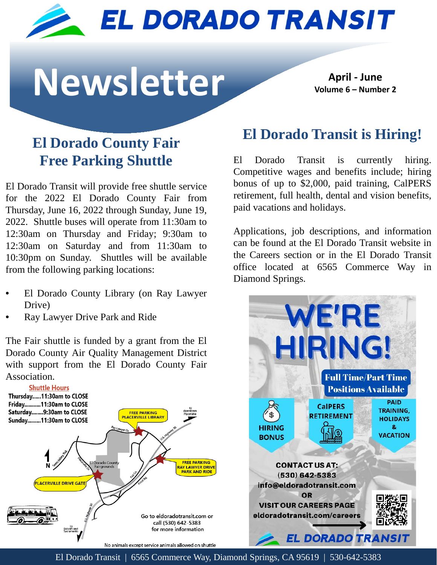

# **Newsletter April - June**

**Volume 6 – Number 2**

# **El Dorado County Fair Free Parking Shuttle**

El Dorado Transit will provide free shuttle service for the 2022 El Dorado County Fair from Thursday, June 16, 2022 through Sunday, June 19, 2022. Shuttle buses will operate from 11:30am to 12:30am on Thursday and Friday; 9:30am to 12:30am on Saturday and from 11:30am to 10:30pm on Sunday. Shuttles will be available from the following parking locations:

- El Dorado County Library (on Ray Lawyer Drive)
- Ray Lawyer Drive Park and Ride

The Fair shuttle is funded by a grant from the El Dorado County Air Quality Management District with support from the El Dorado County Fair Association.



## **El Dorado Transit is Hiring!**

El Dorado Transit is currently hiring. Competitive wages and benefits include; hiring bonus of up to \$2,000, paid training, CalPERS retirement, full health, dental and vision benefits, paid vacations and holidays.

Applications, job descriptions, and information can be found at the El Dorado Transit website in the Careers section or in the El Dorado Transit office located at 6565 Commerce Way in Diamond Springs.



El Dorado Transit | 6565 Commerce Way, Diamond Springs, CA 95619 | 530-642-5383